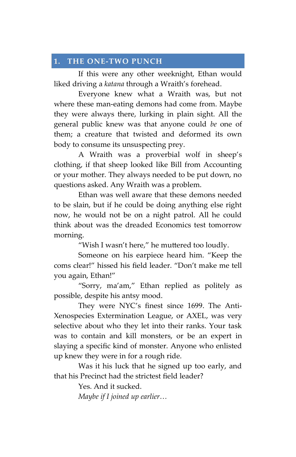## 1. THE ONE-TWO PUNCH

If this were any other weeknight, Ethan would liked driving a katana through a Wraith's forehead.

Everyone knew what a Wraith was, but not where these man-eating demons had come from. Maybe they were always there, lurking in plain sight. All the general public knew was that anyone could be one of them; a creature that twisted and deformed its own body to consume its unsuspecting prey.

A Wraith was a proverbial wolf in sheep's clothing, if that sheep looked like Bill from Accounting or your mother. They always needed to be put down, no questions asked. Any Wraith was a problem.

Ethan was well aware that these demons needed to be slain, but if he could be doing anything else right now, he would not be on a night patrol. All he could think about was the dreaded Economics test tomorrow morning.

"Wish I wasn't here," he muttered too loudly.

Someone on his earpiece heard him. "Keep the coms clear!" hissed his field leader. "Don't make me tell you again, Ethan!"

"Sorry, ma'am," Ethan replied as politely as possible, despite his antsy mood.

They were NYC's finest since 1699. The Anti-Xenospecies Extermination League, or AXEL, was very selective about who they let into their ranks. Your task was to contain and kill monsters, or be an expert in slaying a specific kind of monster. Anyone who enlisted up knew they were in for a rough ride.

Was it his luck that he signed up too early, and that his Precinct had the strictest field leader?

Yes. And it sucked.

Maybe if I joined up earlier…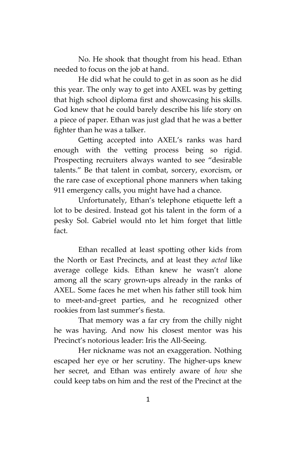No. He shook that thought from his head. Ethan needed to focus on the job at hand.

He did what he could to get in as soon as he did this year. The only way to get into AXEL was by getting that high school diploma first and showcasing his skills. God knew that he could barely describe his life story on a piece of paper. Ethan was just glad that he was a better fighter than he was a talker.

Getting accepted into AXEL's ranks was hard enough with the vetting process being so rigid. Prospecting recruiters always wanted to see "desirable talents." Be that talent in combat, sorcery, exorcism, or the rare case of exceptional phone manners when taking 911 emergency calls, you might have had a chance.

Unfortunately, Ethan's telephone etiquette left a lot to be desired. Instead got his talent in the form of a pesky Sol. Gabriel would nto let him forget that little fact.

Ethan recalled at least spotting other kids from the North or East Precincts, and at least they acted like average college kids. Ethan knew he wasn't alone among all the scary grown-ups already in the ranks of AXEL. Some faces he met when his father still took him to meet-and-greet parties, and he recognized other rookies from last summer's fiesta.

That memory was a far cry from the chilly night he was having. And now his closest mentor was his Precinct's notorious leader: Iris the All-Seeing.

Her nickname was not an exaggeration. Nothing escaped her eye or her scrutiny. The higher-ups knew her secret, and Ethan was entirely aware of how she could keep tabs on him and the rest of the Precinct at the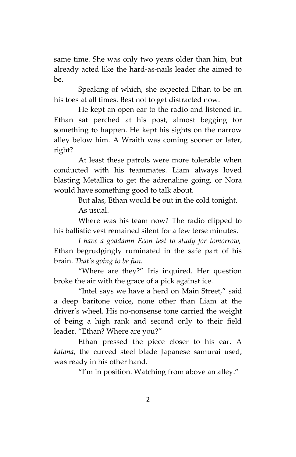same time. She was only two years older than him, but already acted like the hard-as-nails leader she aimed to be.

Speaking of which, she expected Ethan to be on his toes at all times. Best not to get distracted now.

He kept an open ear to the radio and listened in. Ethan sat perched at his post, almost begging for something to happen. He kept his sights on the narrow alley below him. A Wraith was coming sooner or later, right?

At least these patrols were more tolerable when conducted with his teammates. Liam always loved blasting Metallica to get the adrenaline going, or Nora would have something good to talk about.

> But alas, Ethan would be out in the cold tonight. As usual.

Where was his team now? The radio clipped to his ballistic vest remained silent for a few terse minutes.

I have a goddamn Econ test to study for tomorrow, Ethan begrudgingly ruminated in the safe part of his brain. That's going to be fun.

"Where are they?" Iris inquired. Her question broke the air with the grace of a pick against ice.

"Intel says we have a herd on Main Street," said a deep baritone voice, none other than Liam at the driver's wheel. His no-nonsense tone carried the weight of being a high rank and second only to their field leader. "Ethan? Where are you?"

Ethan pressed the piece closer to his ear. A katana, the curved steel blade Japanese samurai used, was ready in his other hand.

"I'm in position. Watching from above an alley."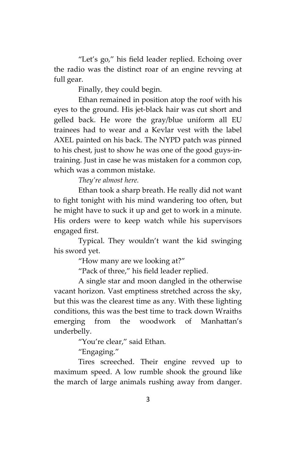"Let's go," his field leader replied. Echoing over the radio was the distinct roar of an engine revving at full gear.

Finally, they could begin.

Ethan remained in position atop the roof with his eyes to the ground. His jet-black hair was cut short and gelled back. He wore the gray/blue uniform all EU trainees had to wear and a Kevlar vest with the label AXEL painted on his back. The NYPD patch was pinned to his chest, just to show he was one of the good guys-intraining. Just in case he was mistaken for a common cop, which was a common mistake.

They're almost here.

Ethan took a sharp breath. He really did not want to fight tonight with his mind wandering too often, but he might have to suck it up and get to work in a minute. His orders were to keep watch while his supervisors engaged first.

Typical. They wouldn't want the kid swinging his sword yet.

"How many are we looking at?"

"Pack of three," his field leader replied.

A single star and moon dangled in the otherwise vacant horizon. Vast emptiness stretched across the sky, but this was the clearest time as any. With these lighting conditions, this was the best time to track down Wraiths emerging from the woodwork of Manhattan's underbelly.

"You're clear," said Ethan.

"Engaging."

Tires screeched. Their engine revved up to maximum speed. A low rumble shook the ground like the march of large animals rushing away from danger.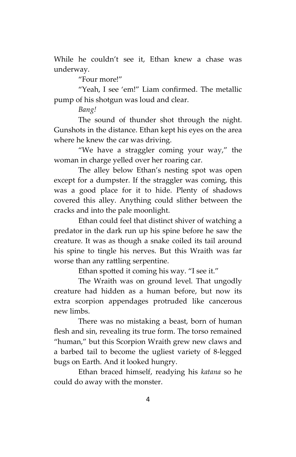While he couldn't see it, Ethan knew a chase was underway.

"Four more!"

"Yeah, I see 'em!" Liam confirmed. The metallic pump of his shotgun was loud and clear.

Bang!

The sound of thunder shot through the night. Gunshots in the distance. Ethan kept his eyes on the area where he knew the car was driving.

"We have a straggler coming your way," the woman in charge yelled over her roaring car.

The alley below Ethan's nesting spot was open except for a dumpster. If the straggler was coming, this was a good place for it to hide. Plenty of shadows covered this alley. Anything could slither between the cracks and into the pale moonlight.

Ethan could feel that distinct shiver of watching a predator in the dark run up his spine before he saw the creature. It was as though a snake coiled its tail around his spine to tingle his nerves. But this Wraith was far worse than any rattling serpentine.

Ethan spotted it coming his way. "I see it."

The Wraith was on ground level. That ungodly creature had hidden as a human before, but now its extra scorpion appendages protruded like cancerous new limbs.

There was no mistaking a beast, born of human flesh and sin, revealing its true form. The torso remained "human," but this Scorpion Wraith grew new claws and a barbed tail to become the ugliest variety of 8-legged bugs on Earth. And it looked hungry.

Ethan braced himself, readying his katana so he could do away with the monster.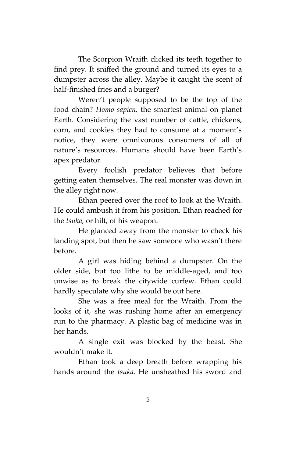The Scorpion Wraith clicked its teeth together to find prey. It sniffed the ground and turned its eyes to a dumpster across the alley. Maybe it caught the scent of half-finished fries and a burger?

Weren't people supposed to be the top of the food chain? Homo sapien, the smartest animal on planet Earth. Considering the vast number of cattle, chickens, corn, and cookies they had to consume at a moment's notice, they were omnivorous consumers of all of nature's resources. Humans should have been Earth's apex predator.

Every foolish predator believes that before getting eaten themselves. The real monster was down in the alley right now.

Ethan peered over the roof to look at the Wraith. He could ambush it from his position. Ethan reached for the tsuka, or hilt, of his weapon.

He glanced away from the monster to check his landing spot, but then he saw someone who wasn't there before.

A girl was hiding behind a dumpster. On the older side, but too lithe to be middle-aged, and too unwise as to break the citywide curfew. Ethan could hardly speculate why she would be out here.

She was a free meal for the Wraith. From the looks of it, she was rushing home after an emergency run to the pharmacy. A plastic bag of medicine was in her hands.

A single exit was blocked by the beast. She wouldn't make it.

Ethan took a deep breath before wrapping his hands around the tsuka. He unsheathed his sword and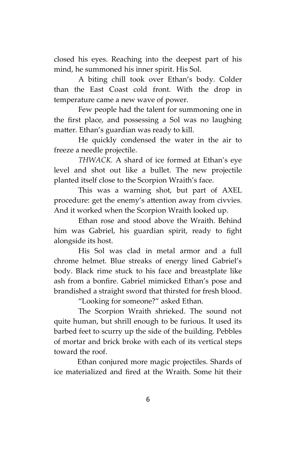closed his eyes. Reaching into the deepest part of his mind, he summoned his inner spirit. His Sol.

A biting chill took over Ethan's body. Colder than the East Coast cold front. With the drop in temperature came a new wave of power.

Few people had the talent for summoning one in the first place, and possessing a Sol was no laughing matter. Ethan's guardian was ready to kill.

He quickly condensed the water in the air to freeze a needle projectile.

THWACK. A shard of ice formed at Ethan's eye level and shot out like a bullet. The new projectile planted itself close to the Scorpion Wraith's face.

This was a warning shot, but part of AXEL procedure: get the enemy's attention away from civvies. And it worked when the Scorpion Wraith looked up.

Ethan rose and stood above the Wraith. Behind him was Gabriel, his guardian spirit, ready to fight alongside its host.

His Sol was clad in metal armor and a full chrome helmet. Blue streaks of energy lined Gabriel's body. Black rime stuck to his face and breastplate like ash from a bonfire. Gabriel mimicked Ethan's pose and brandished a straight sword that thirsted for fresh blood.

"Looking for someone?" asked Ethan.

The Scorpion Wraith shrieked. The sound not quite human, but shrill enough to be furious. It used its barbed feet to scurry up the side of the building. Pebbles of mortar and brick broke with each of its vertical steps toward the roof.

Ethan conjured more magic projectiles. Shards of ice materialized and fired at the Wraith. Some hit their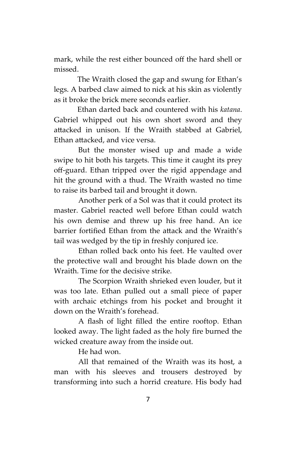mark, while the rest either bounced off the hard shell or missed.

The Wraith closed the gap and swung for Ethan's legs. A barbed claw aimed to nick at his skin as violently as it broke the brick mere seconds earlier.

Ethan darted back and countered with his katana. Gabriel whipped out his own short sword and they attacked in unison. If the Wraith stabbed at Gabriel, Ethan attacked, and vice versa.

But the monster wised up and made a wide swipe to hit both his targets. This time it caught its prey off-guard. Ethan tripped over the rigid appendage and hit the ground with a thud. The Wraith wasted no time to raise its barbed tail and brought it down.

Another perk of a Sol was that it could protect its master. Gabriel reacted well before Ethan could watch his own demise and threw up his free hand. An ice barrier fortified Ethan from the attack and the Wraith's tail was wedged by the tip in freshly conjured ice.

Ethan rolled back onto his feet. He vaulted over the protective wall and brought his blade down on the Wraith. Time for the decisive strike.

The Scorpion Wraith shrieked even louder, but it was too late. Ethan pulled out a small piece of paper with archaic etchings from his pocket and brought it down on the Wraith's forehead.

A flash of light filled the entire rooftop. Ethan looked away. The light faded as the holy fire burned the wicked creature away from the inside out.

He had won.

All that remained of the Wraith was its host, a man with his sleeves and trousers destroyed by transforming into such a horrid creature. His body had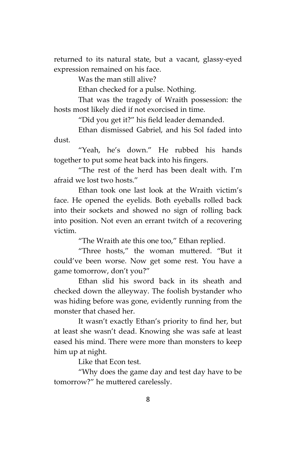returned to its natural state, but a vacant, glassy-eyed expression remained on his face.

Was the man still alive?

Ethan checked for a pulse. Nothing.

That was the tragedy of Wraith possession: the hosts most likely died if not exorcised in time.

"Did you get it?" his field leader demanded.

Ethan dismissed Gabriel, and his Sol faded into dust.

"Yeah, he's down." He rubbed his hands together to put some heat back into his fingers.

"The rest of the herd has been dealt with. I'm afraid we lost two hosts."

Ethan took one last look at the Wraith victim's face. He opened the eyelids. Both eyeballs rolled back into their sockets and showed no sign of rolling back into position. Not even an errant twitch of a recovering victim.

"The Wraith ate this one too," Ethan replied.

"Three hosts," the woman muttered. "But it could've been worse. Now get some rest. You have a game tomorrow, don't you?"

Ethan slid his sword back in its sheath and checked down the alleyway. The foolish bystander who was hiding before was gone, evidently running from the monster that chased her.

It wasn't exactly Ethan's priority to find her, but at least she wasn't dead. Knowing she was safe at least eased his mind. There were more than monsters to keep him up at night.

Like that Econ test.

"Why does the game day and test day have to be tomorrow?" he muttered carelessly.